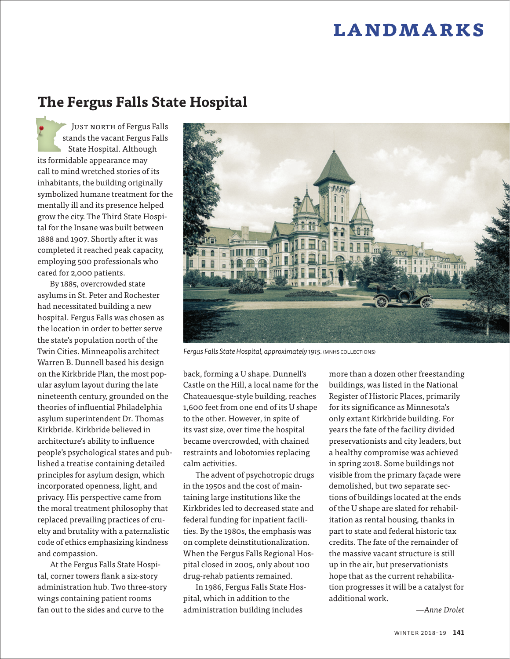# **landmarks**

## **The Fergus Falls State Hospital**

JUST NORTH of Fergus Falls stands the vacant Fergus Falls State Hospital. Although its formidable appearance may call to mind wretched stories of its inhabitants, the building originally symbolized humane treatment for the mentally ill and its presence helped grow the city. The Third State Hospital for the Insane was built between 1888 and 1907. Shortly after it was completed it reached peak capacity, employing 500 professionals who cared for 2,000 patients.

By 1885, overcrowded state asylums in St. Peter and Rochester had necessitated building a new hospital. Fergus Falls was chosen as the location in order to better serve the state's population north of the Twin Cities. Minneapolis architect Warren B. Dunnell based his design on the Kirkbride Plan, the most popular asylum layout during the late nineteenth century, grounded on the theories of influential Philadelphia asylum superintendent Dr. Thomas Kirkbride. Kirkbride believed in architecture's ability to influence people's psychological states and published a treatise containing detailed principles for asylum design, which incorporated openness, light, and privacy. His perspective came from the moral treatment philosophy that replaced prevailing practices of cruelty and brutality with a paternalistic code of ethics emphasizing kindness and compassion.

At the Fergus Falls State Hospital, corner towers flank a six-story administration hub. Two three-story wings containing patient rooms fan out to the sides and curve to the



*Fergus Falls State Hospital, approximately 1915.* (MNHS COLLECTIONS)

back, forming a U shape. Dunnell's Castle on the Hill, a local name for the Chateauesque-style building, reaches 1,600 feet from one end of its U shape to the other. However, in spite of its vast size, over time the hospital became overcrowded, with chained restraints and lobotomies replacing calm activities.

The advent of psychotropic drugs in the 1950s and the cost of maintaining large institutions like the Kirkbrides led to decreased state and federal funding for inpatient facilities. By the 1980s, the emphasis was on complete deinstitutionalization. When the Fergus Falls Regional Hospital closed in 2005, only about 100 drug-rehab patients remained.

In 1986, Fergus Falls State Hospital, which in addition to the administration building includes

more than a dozen other freestanding buildings, was listed in the National Register of Historic Places, primarily for its significance as Minnesota's only extant Kirkbride building. For years the fate of the facility divided preservationists and city leaders, but a healthy compromise was achieved in spring 2018. Some buildings not visible from the primary façade were demolished, but two separate sections of buildings located at the ends of the U shape are slated for rehabilitation as rental housing, thanks in part to state and federal historic tax credits. The fate of the remainder of the massive vacant structure is still up in the air, but preservationists hope that as the current rehabilitation progresses it will be a catalyst for additional work.

*—Anne Drolet*